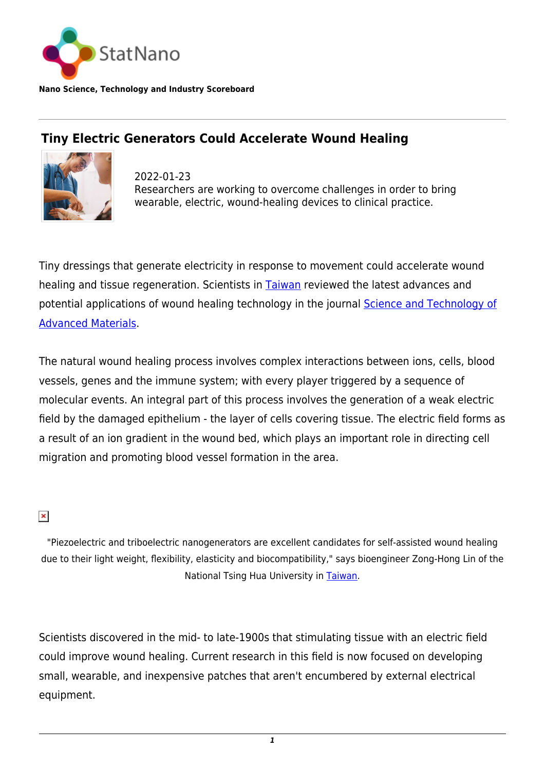

**Nano Science, Technology and Industry Scoreboard**

## **Tiny Electric Generators Could Accelerate Wound Healing**



2022-01-23 Researchers are working to overcome challenges in order to bring wearable, electric, wound-healing devices to clinical practice.

Tiny dressings that generate electricity in response to movement could accelerate wound healing and tissue regeneration. Scientists in [Taiwan](http://statnano.com/country/Taiwan) reviewed the latest advances and potential applications of wound healing technology in the journal [Science and Technology of](https://www.tandfonline.com/doi/full/10.1080/14686996.2021.2015249) [Advanced Materials.](https://www.tandfonline.com/doi/full/10.1080/14686996.2021.2015249)

The natural wound healing process involves complex interactions between ions, cells, blood vessels, genes and the immune system; with every player triggered by a sequence of molecular events. An integral part of this process involves the generation of a weak electric field by the damaged epithelium - the layer of cells covering tissue. The electric field forms as a result of an ion gradient in the wound bed, which plays an important role in directing cell migration and promoting blood vessel formation in the area.

 $\pmb{\times}$ 

"Piezoelectric and triboelectric nanogenerators are excellent candidates for self-assisted wound healing due to their light weight, flexibility, elasticity and biocompatibility," says bioengineer Zong-Hong Lin of the National Tsing Hua University in [Taiwan](http://statnano.com/country/Taiwan).

Scientists discovered in the mid- to late-1900s that stimulating tissue with an electric field could improve wound healing. Current research in this field is now focused on developing small, wearable, and inexpensive patches that aren't encumbered by external electrical equipment.